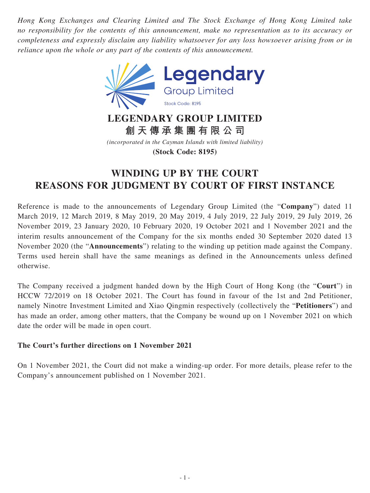*Hong Kong Exchanges and Clearing Limited and The Stock Exchange of Hong Kong Limited take no responsibility for the contents of this announcement, make no representation as to its accuracy or completeness and expressly disclaim any liability whatsoever for any loss howsoever arising from or in reliance upon the whole or any part of the contents of this announcement.*



## **LEGENDARY GROUP LIMITED 創天傳承集團有限公司**

*(incorporated in the Cayman Islands with limited liability)* **(Stock Code: 8195)**

# **WINDING UP BY THE COURT REASONS FOR JUDGMENT BY COURT OF FIRST INSTANCE**

Reference is made to the announcements of Legendary Group Limited (the "**Company**") dated 11 March 2019, 12 March 2019, 8 May 2019, 20 May 2019, 4 July 2019, 22 July 2019, 29 July 2019, 26 November 2019, 23 January 2020, 10 February 2020, 19 October 2021 and 1 November 2021 and the interim results announcement of the Company for the six months ended 30 September 2020 dated 13 November 2020 (the "**Announcements**") relating to the winding up petition made against the Company. Terms used herein shall have the same meanings as defined in the Announcements unless defined otherwise.

The Company received a judgment handed down by the High Court of Hong Kong (the "**Court**") in HCCW 72/2019 on 18 October 2021. The Court has found in favour of the 1st and 2nd Petitioner, namely Ninotre Investment Limited and Xiao Qingmin respectively (collectively the "**Petitioners**") and has made an order, among other matters, that the Company be wound up on 1 November 2021 on which date the order will be made in open court.

## **The Court's further directions on 1 November 2021**

On 1 November 2021, the Court did not make a winding-up order. For more details, please refer to the Company's announcement published on 1 November 2021.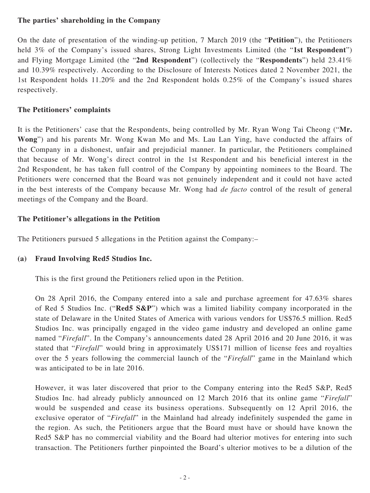#### **The parties' shareholding in the Company**

On the date of presentation of the winding-up petition, 7 March 2019 (the "**Petition**"), the Petitioners held 3% of the Company's issued shares, Strong Light Investments Limited (the "**1st Respondent**") and Flying Mortgage Limited (the "**2nd Respondent**") (collectively the "**Respondents**") held 23.41% and 10.39% respectively. According to the Disclosure of Interests Notices dated 2 November 2021, the 1st Respondent holds 11.20% and the 2nd Respondent holds 0.25% of the Company's issued shares respectively.

#### **The Petitioners' complaints**

It is the Petitioners' case that the Respondents, being controlled by Mr. Ryan Wong Tai Cheong ("**Mr. Wong**") and his parents Mr. Wong Kwan Mo and Ms. Lau Lan Ying, have conducted the affairs of the Company in a dishonest, unfair and prejudicial manner. In particular, the Petitioners complained that because of Mr. Wong's direct control in the 1st Respondent and his beneficial interest in the 2nd Respondent, he has taken full control of the Company by appointing nominees to the Board. The Petitioners were concerned that the Board was not genuinely independent and it could not have acted in the best interests of the Company because Mr. Wong had *de facto* control of the result of general meetings of the Company and the Board.

#### **The Petitioner's allegations in the Petition**

The Petitioners pursued 5 allegations in the Petition against the Company:–

#### **(a) Fraud Involving Red5 Studios Inc.**

This is the first ground the Petitioners relied upon in the Petition.

On 28 April 2016, the Company entered into a sale and purchase agreement for 47.63% shares of Red 5 Studios Inc. ("**Red5 S&P**") which was a limited liability company incorporated in the state of Delaware in the United States of America with various vendors for US\$76.5 million. Red5 Studios Inc. was principally engaged in the video game industry and developed an online game named "*Firefall*". In the Company's announcements dated 28 April 2016 and 20 June 2016, it was stated that "*Firefall*" would bring in approximately US\$171 million of license fees and royalties over the 5 years following the commercial launch of the "*Firefall*" game in the Mainland which was anticipated to be in late 2016.

However, it was later discovered that prior to the Company entering into the Red5 S&P, Red5 Studios Inc. had already publicly announced on 12 March 2016 that its online game "*Firefall*" would be suspended and cease its business operations. Subsequently on 12 April 2016, the exclusive operator of "*Firefall*" in the Mainland had already indefinitely suspended the game in the region. As such, the Petitioners argue that the Board must have or should have known the Red5 S&P has no commercial viability and the Board had ulterior motives for entering into such transaction. The Petitioners further pinpointed the Board's ulterior motives to be a dilution of the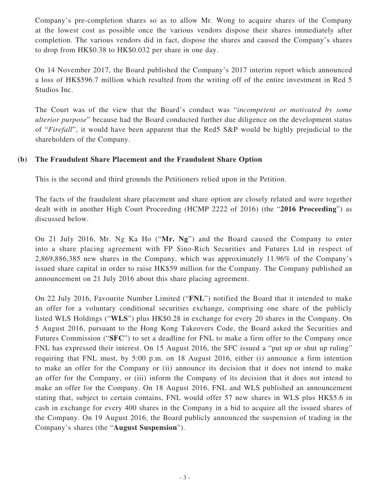Company's pre-completion shares so as to allow Mr. Wong to acquire shares of the Company at the lowest cost as possible once the various vendors dispose their shares immediately after completion. The various vendors did in fact, dispose the shares and caused the Company's shares to drop from HK\$0.38 to HK\$0.032 per share in one day.

On 14 November 2017, the Board published the Company's 2017 interim report which announced a loss of HK\$596.7 million which resulted from the writing off of the entire investment in Red 5 Studios Inc.

The Court was of the view that the Board's conduct was "*incompetent or motivated by some ulterior purpose*" because had the Board conducted further due diligence on the development status of "*Firefall*", it would have been apparent that the Red5 S&P would be highly prejudicial to the shareholders of the Company.

### **(b) The Fraudulent Share Placement and the Fraudulent Share Option**

This is the second and third grounds the Petitioners relied upon in the Petition.

The facts of the fraudulent share placement and share option are closely related and were together dealt with in another High Court Proceeding (HCMP 2222 of 2016) (the "**2016 Proceeding**") as discussed below.

On 21 July 2016, Mr. Ng Ka Ho ("**Mr. Ng**") and the Board caused the Company to enter into a share placing agreement with FP Sino-Rich Securities and Futures Ltd in respect of 2,869,886,385 new shares in the Company, which was approximately 11.96% of the Company's issued share capital in order to raise HK\$59 million for the Company. The Company published an announcement on 21 July 2016 about this share placing agreement.

On 22 July 2016, Favourite Number Limited ("**FNL**") notified the Board that it intended to make an offer for a voluntary conditional securities exchange, comprising one share of the publicly listed WLS Holdings ("**WLS**") plus HK\$0.28 in exchange for every 20 shares in the Company. On 5 August 2016, pursuant to the Hong Kong Takeovers Code, the Board asked the Securities and Futures Commission ("**SFC**") to set a deadline for FNL to make a firm offer to the Company once FNL has expressed their interest. On 15 August 2016, the SFC issued a "put up or shut up ruling" requiring that FNL must, by 5:00 p.m. on 18 August 2016, either (i) announce a firm intention to make an offer for the Company or (ii) announce its decision that it does not intend to make an offer for the Company, or (iii) inform the Company of its decision that it does not intend to make an offer for the Company. On 18 August 2016, FNL and WLS published an announcement stating that, subject to certain contains, FNL would offer 57 new shares in WLS plus HK\$5.6 in cash in exchange for every 400 shares in the Company in a bid to acquire all the issued shares of the Company. On 19 August 2016, the Board publicly announced the suspension of trading in the Company's shares (the "**August Suspension**").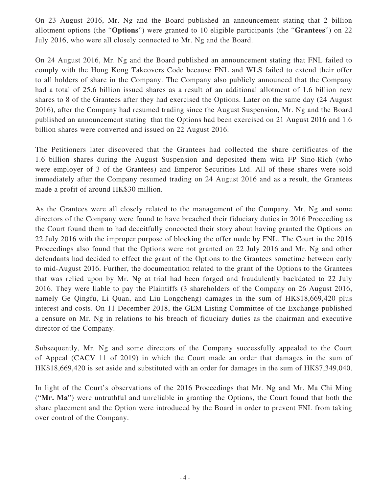On 23 August 2016, Mr. Ng and the Board published an announcement stating that 2 billion allotment options (the "**Options**") were granted to 10 eligible participants (the "**Grantees**") on 22 July 2016, who were all closely connected to Mr. Ng and the Board.

On 24 August 2016, Mr. Ng and the Board published an announcement stating that FNL failed to comply with the Hong Kong Takeovers Code because FNL and WLS failed to extend their offer to all holders of share in the Company. The Company also publicly announced that the Company had a total of 25.6 billion issued shares as a result of an additional allotment of 1.6 billion new shares to 8 of the Grantees after they had exercised the Options. Later on the same day (24 August 2016), after the Company had resumed trading since the August Suspension, Mr. Ng and the Board published an announcement stating that the Options had been exercised on 21 August 2016 and 1.6 billion shares were converted and issued on 22 August 2016.

The Petitioners later discovered that the Grantees had collected the share certificates of the 1.6 billion shares during the August Suspension and deposited them with FP Sino-Rich (who were employer of 3 of the Grantees) and Emperor Securities Ltd. All of these shares were sold immediately after the Company resumed trading on 24 August 2016 and as a result, the Grantees made a profit of around HK\$30 million.

As the Grantees were all closely related to the management of the Company, Mr. Ng and some directors of the Company were found to have breached their fiduciary duties in 2016 Proceeding as the Court found them to had deceitfully concocted their story about having granted the Options on 22 July 2016 with the improper purpose of blocking the offer made by FNL. The Court in the 2016 Proceedings also found that the Options were not granted on 22 July 2016 and Mr. Ng and other defendants had decided to effect the grant of the Options to the Grantees sometime between early to mid-August 2016. Further, the documentation related to the grant of the Options to the Grantees that was relied upon by Mr. Ng at trial had been forged and fraudulently backdated to 22 July 2016. They were liable to pay the Plaintiffs (3 shareholders of the Company on 26 August 2016, namely Ge Qingfu, Li Quan, and Liu Longcheng) damages in the sum of HK\$18,669,420 plus interest and costs. On 11 December 2018, the GEM Listing Committee of the Exchange published a censure on Mr. Ng in relations to his breach of fiduciary duties as the chairman and executive director of the Company.

Subsequently, Mr. Ng and some directors of the Company successfully appealed to the Court of Appeal (CACV 11 of 2019) in which the Court made an order that damages in the sum of HK\$18,669,420 is set aside and substituted with an order for damages in the sum of HK\$7,349,040.

In light of the Court's observations of the 2016 Proceedings that Mr. Ng and Mr. Ma Chi Ming ("**Mr. Ma**") were untruthful and unreliable in granting the Options, the Court found that both the share placement and the Option were introduced by the Board in order to prevent FNL from taking over control of the Company.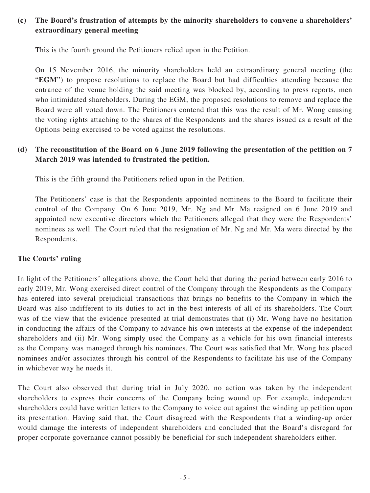## **(c) The Board's frustration of attempts by the minority shareholders to convene a shareholders' extraordinary general meeting**

This is the fourth ground the Petitioners relied upon in the Petition.

On 15 November 2016, the minority shareholders held an extraordinary general meeting (the "**EGM**") to propose resolutions to replace the Board but had difficulties attending because the entrance of the venue holding the said meeting was blocked by, according to press reports, men who intimidated shareholders. During the EGM, the proposed resolutions to remove and replace the Board were all voted down. The Petitioners contend that this was the result of Mr. Wong causing the voting rights attaching to the shares of the Respondents and the shares issued as a result of the Options being exercised to be voted against the resolutions.

## **(d) The reconstitution of the Board on 6 June 2019 following the presentation of the petition on 7 March 2019 was intended to frustrated the petition.**

This is the fifth ground the Petitioners relied upon in the Petition.

The Petitioners' case is that the Respondents appointed nominees to the Board to facilitate their control of the Company. On 6 June 2019, Mr. Ng and Mr. Ma resigned on 6 June 2019 and appointed new executive directors which the Petitioners alleged that they were the Respondents' nominees as well. The Court ruled that the resignation of Mr. Ng and Mr. Ma were directed by the Respondents.

## **The Courts' ruling**

In light of the Petitioners' allegations above, the Court held that during the period between early 2016 to early 2019, Mr. Wong exercised direct control of the Company through the Respondents as the Company has entered into several prejudicial transactions that brings no benefits to the Company in which the Board was also indifferent to its duties to act in the best interests of all of its shareholders. The Court was of the view that the evidence presented at trial demonstrates that (i) Mr. Wong have no hesitation in conducting the affairs of the Company to advance his own interests at the expense of the independent shareholders and (ii) Mr. Wong simply used the Company as a vehicle for his own financial interests as the Company was managed through his nominees. The Court was satisfied that Mr. Wong has placed nominees and/or associates through his control of the Respondents to facilitate his use of the Company in whichever way he needs it.

The Court also observed that during trial in July 2020, no action was taken by the independent shareholders to express their concerns of the Company being wound up. For example, independent shareholders could have written letters to the Company to voice out against the winding up petition upon its presentation. Having said that, the Court disagreed with the Respondents that a winding-up order would damage the interests of independent shareholders and concluded that the Board's disregard for proper corporate governance cannot possibly be beneficial for such independent shareholders either.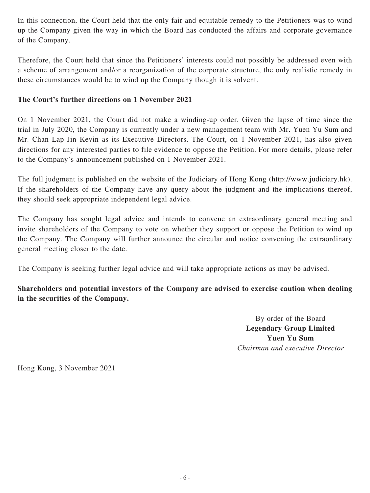In this connection, the Court held that the only fair and equitable remedy to the Petitioners was to wind up the Company given the way in which the Board has conducted the affairs and corporate governance of the Company.

Therefore, the Court held that since the Petitioners' interests could not possibly be addressed even with a scheme of arrangement and/or a reorganization of the corporate structure, the only realistic remedy in these circumstances would be to wind up the Company though it is solvent.

## **The Court's further directions on 1 November 2021**

On 1 November 2021, the Court did not make a winding-up order. Given the lapse of time since the trial in July 2020, the Company is currently under a new management team with Mr. Yuen Yu Sum and Mr. Chan Lap Jin Kevin as its Executive Directors. The Court, on 1 November 2021, has also given directions for any interested parties to file evidence to oppose the Petition. For more details, please refer to the Company's announcement published on 1 November 2021.

The full judgment is published on the website of the Judiciary of Hong Kong (http://www.judiciary.hk). If the shareholders of the Company have any query about the judgment and the implications thereof, they should seek appropriate independent legal advice.

The Company has sought legal advice and intends to convene an extraordinary general meeting and invite shareholders of the Company to vote on whether they support or oppose the Petition to wind up the Company. The Company will further announce the circular and notice convening the extraordinary general meeting closer to the date.

The Company is seeking further legal advice and will take appropriate actions as may be advised.

**Shareholders and potential investors of the Company are advised to exercise caution when dealing in the securities of the Company.**

> By order of the Board **Legendary Group Limited Yuen Yu Sum** *Chairman and executive Director*

Hong Kong, 3 November 2021